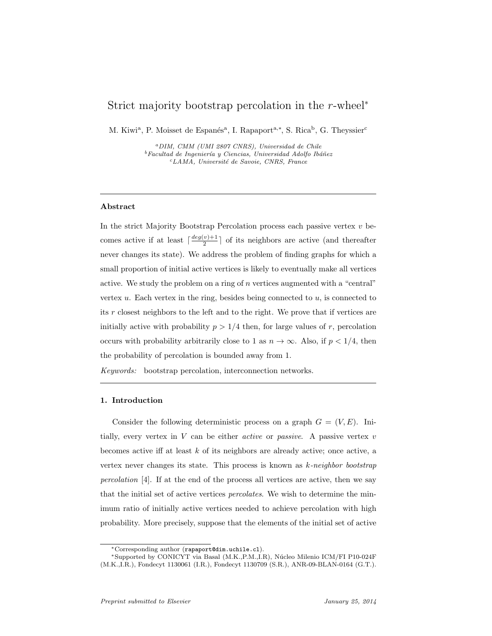## Strict majority bootstrap percolation in the *r*-wheel*<sup>∗</sup>*

M. Kiwi<sup>a</sup>, P. Moisset de Espanés<sup>a</sup>, I. Rapaport<sup>a,\*</sup>, S. Rica<sup>b</sup>, G. Theyssier<sup>c</sup>

*<sup>a</sup>DIM, CMM (UMI 2807 CNRS), Universidad de Chile* <sup>*b*</sup>Facultad de Ingeniería y Ciencias, Universidad Adolfo Ibáñez *<sup>c</sup>LAMA, Universit´e de Savoie, CNRS, France*

#### **Abstract**

In the strict Majority Bootstrap Percolation process each passive vertex *v* becomes active if at least  $\lceil \frac{deg(v)+1}{2} \rceil$  $\frac{v_{j+1}}{2}$  of its neighbors are active (and thereafter never changes its state). We address the problem of finding graphs for which a small proportion of initial active vertices is likely to eventually make all vertices active. We study the problem on a ring of *n* vertices augmented with a "central" vertex *u*. Each vertex in the ring, besides being connected to *u*, is connected to its *r* closest neighbors to the left and to the right. We prove that if vertices are initially active with probability  $p > 1/4$  then, for large values of *r*, percolation occurs with probability arbitrarily close to 1 as  $n \to \infty$ . Also, if  $p < 1/4$ , then the probability of percolation is bounded away from 1.

*Keywords:* bootstrap percolation, interconnection networks.

#### **1. Introduction**

Consider the following deterministic process on a graph  $G = (V, E)$ . Initially, every vertex in *V* can be either *active* or *passive*. A passive vertex *v* becomes active iff at least *k* of its neighbors are already active; once active, a vertex never changes its state. This process is known as *k-neighbor bootstrap percolation* [4]. If at the end of the process all vertices are active, then we say that the initial set of active vertices *percolates*. We wish to determine the minimum ratio of initially active vertices needed to achieve percolation with high probability. More precisely, suppose that the elements of the initial set of active

*<sup>∗</sup>*Corresponding author (rapaport@dim.uchile.cl).

*<sup>∗</sup>*Supported by CONICYT via Basal (M.K.,P.M.,I.R), N´ucleo Milenio ICM/FI P10-024F (M.K.,I.R.), Fondecyt 1130061 (I.R.), Fondecyt 1130709 (S.R.), ANR-09-BLAN-0164 (G.T.).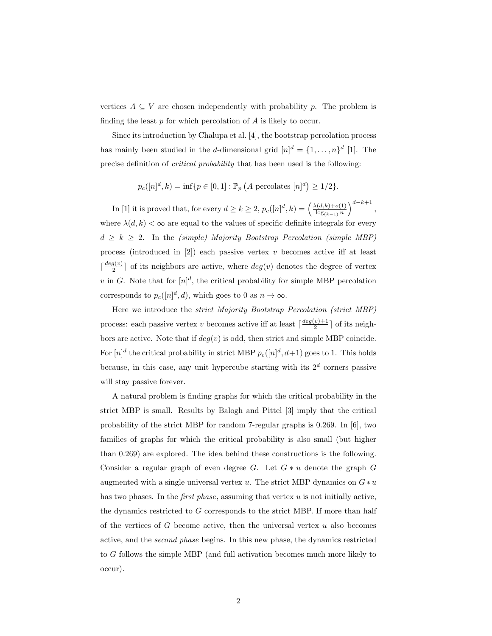vertices  $A \subseteq V$  are chosen independently with probability *p*. The problem is finding the least *p* for which percolation of *A* is likely to occur.

Since its introduction by Chalupa et al. [4], the bootstrap percolation process has mainly been studied in the *d*-dimensional grid  $[n]^d = \{1, \ldots, n\}^d$  [1]. The precise definition of *critical probability* that has been used is the following:

$$
p_c([n]^d, k) = \inf\{p \in [0, 1] : \mathbb{P}_p(A \text{ percolates } [n]^d) \ge 1/2\}.
$$

In [1] it is proved that, for every  $d \geq k \geq 2$ ,  $p_c([n]^d, k) = \left(\frac{\lambda(d, k) + o(1)}{\log a} \cdot n \right)$ log(*k−*1) *<sup>n</sup>* )*<sup>d</sup>−k*+1 *,* where  $\lambda(d, k) < \infty$  are equal to the values of specific definite integrals for every  $d \geq k \geq 2$ . In the *(simple) Majority Bootstrap Percolation (simple MBP)* process (introduced in [2]) each passive vertex *v* becomes active iff at least  $\int \frac{deg(v)}{2}$  $\frac{g(v)}{2}$  of its neighbors are active, where  $deg(v)$  denotes the degree of vertex *v* in *G*. Note that for  $[n]^d$ , the critical probability for simple MBP percolation corresponds to  $p_c([n]^d, d)$ , which goes to 0 as  $n \to \infty$ .

Here we introduce the *strict Majority Bootstrap Percolation (strict MBP)* process: each passive vertex *v* becomes active iff at least  $\lceil \frac{deg(v)+1}{2} \rceil$  $\frac{v}{2}$  of its neighbors are active. Note that if  $deg(v)$  is odd, then strict and simple MBP coincide. For  $[n]^d$  the critical probability in strict MBP  $p_c([n]^d, d+1)$  goes to 1. This holds because, in this case, any unit hypercube starting with its  $2<sup>d</sup>$  corners passive will stay passive forever.

A natural problem is finding graphs for which the critical probability in the strict MBP is small. Results by Balogh and Pittel [3] imply that the critical probability of the strict MBP for random 7-regular graphs is 0.269. In  $[6]$ , two families of graphs for which the critical probability is also small (but higher than 0.269) are explored. The idea behind these constructions is the following. Consider a regular graph of even degree  $G$ . Let  $G * u$  denote the graph  $G$ augmented with a single universal vertex  $u$ . The strict MBP dynamics on  $G * u$ has two phases. In the *first phase*, assuming that vertex *u* is not initially active, the dynamics restricted to *G* corresponds to the strict MBP. If more than half of the vertices of *G* become active, then the universal vertex *u* also becomes active, and the *second phase* begins. In this new phase, the dynamics restricted to *G* follows the simple MBP (and full activation becomes much more likely to occur).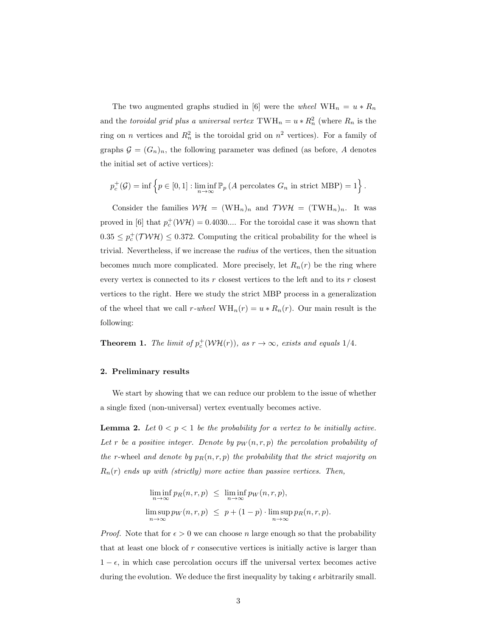The two augmented graphs studied in [6] were the *wheel*  $WH_n = u * R_n$ and the *toroidal grid plus a universal vertex*  $\text{TWH}_n = u * R_n^2$  (where  $R_n$  is the ring on *n* vertices and  $R_n^2$  is the toroidal grid on  $n^2$  vertices). For a family of graphs  $\mathcal{G} = (G_n)_n$ , the following parameter was defined (as before, A denotes the initial set of active vertices):

$$
p_c^+(\mathcal{G}) = \inf \left\{ p \in [0,1] : \liminf_{n \to \infty} \mathbb{P}_p \left( A \text{ percolates } G_n \text{ in strict MBP} \right) = 1 \right\}.
$$

Consider the families  $W\mathcal{H} = (WH_n)_n$  and  $TW\mathcal{H} = (TWH_n)_n$ . It was proved in [6] that  $p_c^+(\mathcal{W}\mathcal{H}) = 0.4030...$  For the toroidal case it was shown that  $0.35 \leq p_c^+$ (*TWH*)  $\leq 0.372$ . Computing the critical probability for the wheel is trivial. Nevertheless, if we increase the *radius* of the vertices, then the situation becomes much more complicated. More precisely, let  $R_n(r)$  be the ring where every vertex is connected to its *r* closest vertices to the left and to its *r* closest vertices to the right. Here we study the strict MBP process in a generalization of the wheel that we call *r-wheel*  $WH_n(r) = u * R_n(r)$ . Our main result is the following:

**Theorem 1.** *The limit of*  $p_c^+(\mathcal{W}\mathcal{H}(r))$ *, as*  $r \to \infty$ *, exists and equals* 1/4*.* 

### **2. Preliminary results**

We start by showing that we can reduce our problem to the issue of whether a single fixed (non-universal) vertex eventually becomes active.

**Lemma 2.** Let  $0 < p < 1$  be the probability for a vertex to be initially active. Let *r* be a positive integer. Denote by  $p_W(n,r,p)$  the percolation probability of *the r*-wheel and denote by  $p_R(n, r, p)$  the probability that the strict majority on  $R_n(r)$  *ends up with (strictly) more active than passive vertices. Then,* 

$$
\liminf_{n \to \infty} p_R(n, r, p) \leq \liminf_{n \to \infty} p_W(n, r, p),
$$
  

$$
\limsup_{n \to \infty} p_W(n, r, p) \leq p + (1 - p) \cdot \limsup_{n \to \infty} p_R(n, r, p).
$$

*Proof.* Note that for  $\epsilon > 0$  we can choose *n* large enough so that the probability that at least one block of *r* consecutive vertices is initially active is larger than  $1 - \epsilon$ , in which case percolation occurs iff the universal vertex becomes active during the evolution. We deduce the first inequality by taking  $\epsilon$  arbitrarily small.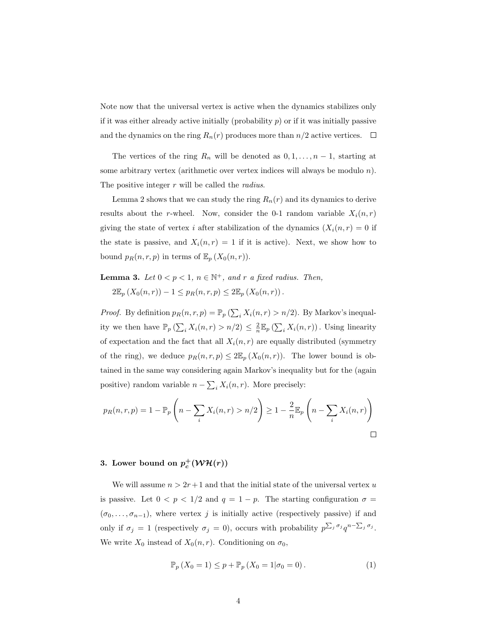Note now that the universal vertex is active when the dynamics stabilizes only if it was either already active initially (probability  $p$ ) or if it was initially passive and the dynamics on the ring  $R_n(r)$  produces more than  $n/2$  active vertices.  $\Box$ 

The vertices of the ring  $R_n$  will be denoted as  $0, 1, \ldots, n-1$ , starting at some arbitrary vertex (arithmetic over vertex indices will always be modulo *n*). The positive integer *r* will be called the *radius*.

Lemma 2 shows that we can study the ring  $R_n(r)$  and its dynamics to derive results about the *r*-wheel. Now, consider the 0-1 random variable  $X_i(n,r)$ giving the state of vertex *i* after stabilization of the dynamics  $(X_i(n, r) = 0$  if the state is passive, and  $X_i(n,r) = 1$  if it is active). Next, we show how to bound  $p_R(n,r,p)$  in terms of  $\mathbb{E}_p(X_0(n,r))$ .

**Lemma 3.** *Let*  $0 < p < 1$ ,  $n \in \mathbb{N}^+$ , and  $r$  *a fixed radius. Then,* 

 $2\mathbb{E}_p(X_0(n,r)) - 1 \leq p_R(n,r,p) \leq 2\mathbb{E}_p(X_0(n,r)).$ 

*Proof.* By definition  $p_R(n, r, p) = \mathbb{P}_p \left( \sum_i X_i(n, r) > n/2 \right)$ . By Markov's inequality we then have  $\mathbb{P}_p(\sum_i X_i(n,r) > n/2) \leq \frac{2}{n} \mathbb{E}_p(\sum_i X_i(n,r))$ . Using linearity of expectation and the fact that all  $X_i(n,r)$  are equally distributed (symmetry of the ring), we deduce  $p_R(n,r,p) \leq 2\mathbb{E}_p(X_0(n,r))$ . The lower bound is obtained in the same way considering again Markov's inequality but for the (again positive) random variable  $n - \sum_i X_i(n, r)$ . More precisely:

$$
p_R(n,r,p) = 1 - \mathbb{P}_p\left(n - \sum_i X_i(n,r) > n/2\right) \ge 1 - \frac{2}{n} \mathbb{E}_p\left(n - \sum_i X_i(n,r)\right)
$$

# **3.** Lower bound on  $p_c^+(\mathcal{W}\mathcal{H}(r))$

We will assume  $n > 2r + 1$  and that the initial state of the universal vertex  $u$ is passive. Let  $0 < p < 1/2$  and  $q = 1 - p$ . The starting configuration  $\sigma =$  $(\sigma_0, \ldots, \sigma_{n-1})$ , where vertex *j* is initially active (respectively passive) if and only if  $\sigma_j = 1$  (respectively  $\sigma_j = 0$ ), occurs with probability  $p^{\sum_j \sigma_j} q^{n-\sum_j \sigma_j}$ . We write  $X_0$  instead of  $X_0(n,r)$ . Conditioning on  $\sigma_0$ ,

$$
\mathbb{P}_p(X_0 = 1) \le p + \mathbb{P}_p(X_0 = 1 | \sigma_0 = 0).
$$
 (1)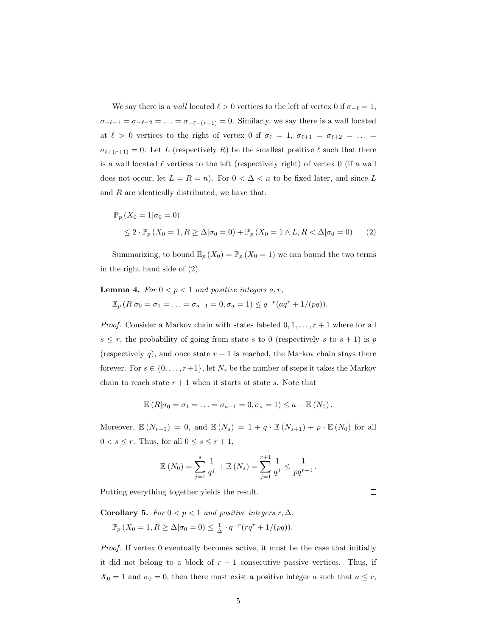We say there is a *wall* located  $\ell > 0$  vertices to the left of vertex 0 if  $\sigma_{-\ell} = 1$ ,  $\sigma$ <sup>*−*</sup> $\ell$ −1 =  $\sigma$ <sup>−</sup> $\ell$ −2 =  $\ldots$  =  $\sigma$ <sup>−</sup> $\ell$ </sup>− $(r+1)$  = 0. Similarly, we say there is a wall located at  $\ell > 0$  vertices to the right of vertex 0 if  $\sigma_{\ell} = 1$ ,  $\sigma_{\ell+1} = \sigma_{\ell+2} = ...$  $\sigma_{\ell+(r+1)} = 0$ . Let *L* (respectively *R*) be the smallest positive  $\ell$  such that there is a wall located *ℓ* vertices to the left (respectively right) of vertex 0 (if a wall does not occur, let  $L = R = n$ . For  $0 < \Delta < n$  to be fixed later, and since L and *R* are identically distributed, we have that:

$$
\mathbb{P}_p(X_0 = 1 | \sigma_0 = 0)
$$
  
\n
$$
\leq 2 \cdot \mathbb{P}_p(X_0 = 1, R \geq \Delta | \sigma_0 = 0) + \mathbb{P}_p(X_0 = 1 \wedge L, R < \Delta | \sigma_0 = 0) \tag{2}
$$

Summarizing, to bound  $\mathbb{E}_p(X_0) = \mathbb{P}_p(X_0 = 1)$  we can bound the two terms in the right hand side of (2).

**Lemma 4.** *For*  $0 < p < 1$  *and positive integers*  $a, r$ *,* 

$$
\mathbb{E}_p (R | \sigma_0 = \sigma_1 = \ldots = \sigma_{a-1} = 0, \sigma_a = 1) \leq q^{-r} (aq^r + 1/(pq)).
$$

*Proof.* Consider a Markov chain with states labeled 0*,* 1*, . . . , r* + 1 where for all  $s \leq r$ , the probability of going from state *s* to 0 (respectively *s* to  $s + 1$ ) is *p* (respectively  $q$ ), and once state  $r + 1$  is reached, the Markov chain stays there forever. For  $s \in \{0, \ldots, r+1\}$ , let  $N_s$  be the number of steps it takes the Markov chain to reach state  $r + 1$  when it starts at state *s*. Note that

$$
\mathbb{E}(R|\sigma_0=\sigma_1=\ldots=\sigma_{a-1}=0,\sigma_a=1)\leq a+\mathbb{E}(N_0).
$$

Moreover,  $\mathbb{E}(N_{r+1}) = 0$ , and  $\mathbb{E}(N_s) = 1 + q \cdot \mathbb{E}(N_{s+1}) + p \cdot \mathbb{E}(N_0)$  for all  $0 < s \leq r$ . Thus, for all  $0 \leq s \leq r+1$ ,

$$
\mathbb{E}(N_0) = \sum_{j=1}^s \frac{1}{q^j} + \mathbb{E}(N_s) = \sum_{j=1}^{r+1} \frac{1}{q^j} \le \frac{1}{pq^{r+1}}.
$$

Putting everything together yields the result.

**Corollary 5.** *For*  $0 < p < 1$  *and positive integers*  $r, \Delta$ *,* 

$$
\mathbb{P}_p(X_0=1, R \ge \Delta | \sigma_0=0) \le \frac{1}{\Delta} \cdot q^{-r} (rq^r + 1/(pq)).
$$

*Proof.* If vertex 0 eventually becomes active, it must be the case that initially it did not belong to a block of  $r + 1$  consecutive passive vertices. Thus, if  $X_0 = 1$  and  $\sigma_0 = 0$ , then there must exist a positive integer *a* such that  $a \leq r$ ,

```
\Box
```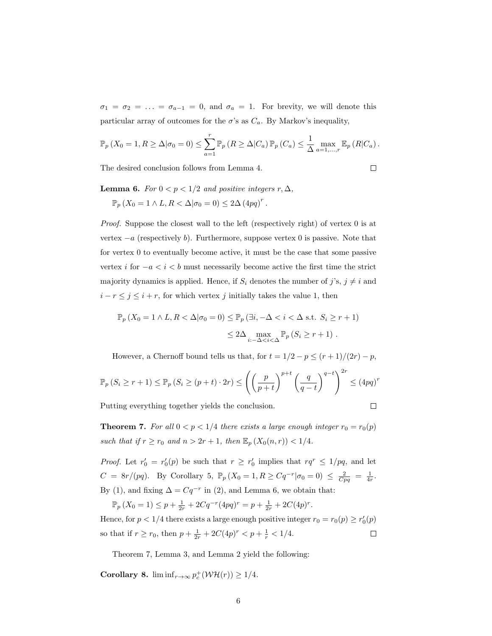$\sigma_1 = \sigma_2 = \ldots = \sigma_{a-1} = 0$ , and  $\sigma_a = 1$ . For brevity, we will denote this particular array of outcomes for the  $\sigma$ 's as  $C_a$ . By Markov's inequality,

$$
\mathbb{P}_p(X_0=1, R \ge \Delta | \sigma_0=0) \le \sum_{a=1}^r \mathbb{P}_p(R \ge \Delta | C_a) \mathbb{P}_p(C_a) \le \frac{1}{\Delta} \max_{a=1,\dots,r} \mathbb{E}_p(R | C_a).
$$

The desired conclusion follows from Lemma 4.

 $\Box$ 

**Lemma 6.** *For*  $0 < p < 1/2$  *and positive integers*  $r, \Delta$ *,* 

 $\mathbb{P}_p (X_0 = 1 \land L, R < \Delta | \sigma_0 = 0) \leq 2\Delta (4pq)^r$ .

*Proof.* Suppose the closest wall to the left (respectively right) of vertex 0 is at vertex *−a* (respectively *b*). Furthermore, suppose vertex 0 is passive. Note that for vertex 0 to eventually become active, it must be the case that some passive vertex *i* for  $-a < i < b$  must necessarily become active the first time the strict majority dynamics is applied. Hence, if  $S_i$  denotes the number of  $j$ 's,  $j \neq i$  and  $i - r \leq j \leq i + r$ , for which vertex *j* initially takes the value 1, then

$$
\mathbb{P}_p(X_0 = 1 \land L, R < \Delta | \sigma_0 = 0) \leq \mathbb{P}_p(\exists i, -\Delta < i < \Delta \text{ s.t. } S_i \geq r+1) \\
\leq 2\Delta \max_{i: -\Delta < i < \Delta} \mathbb{P}_p(S_i \geq r+1) \,.
$$

However, a Chernoff bound tells us that, for  $t = 1/2 - p \le (r + 1)/(2r) - p$ ,

$$
\mathbb{P}_p(S_i \ge r+1) \le \mathbb{P}_p(S_i \ge (p+t) \cdot 2r) \le \left( \left( \frac{p}{p+t} \right)^{p+t} \left( \frac{q}{q-t} \right)^{q-t} \right)^{2r} \le (4pq)^r
$$

Putting everything together yields the conclusion.

 $\Box$ 

 $\Box$ 

**Theorem 7.** *For all*  $0 < p < 1/4$  *there exists a large enough integer*  $r_0 = r_0(p)$ *such that if*  $r \ge r_0$  *and*  $n > 2r + 1$ *, then*  $\mathbb{E}_p(X_0(n,r)) < 1/4$ *.* 

*Proof.* Let  $r'_0 = r'_0(p)$  be such that  $r \geq r'_0$  implies that  $rq^r \leq 1/pq$ , and let  $C = 8r/(pq)$ . By Corollary 5,  $\mathbb{P}_p(X_0 = 1, R \ge Cq^{-r} | \sigma_0 = 0) \le \frac{2}{Cpq} = \frac{1}{4r}$ . By (1), and fixing  $\Delta = Cq^{-r}$  in (2), and Lemma 6, we obtain that:

 $\mathbb{P}_p(X_0 = 1) \leq p + \frac{1}{2r} + 2Cq^{-r}(4pq)^r = p + \frac{1}{2r} + 2C(4p)^r.$ Hence, for  $p < 1/4$  there exists a large enough positive integer  $r_0 = r_0(p) \ge r'_0(p)$ so that if  $r \ge r_0$ , then  $p + \frac{1}{2r} + 2C(4p)^r < p + \frac{1}{r} < 1/4$ .

Theorem 7, Lemma 3, and Lemma 2 yield the following:

**Corollary 8.** lim inf<sub>*r*→∞</sub>  $p_c^+(\mathcal{W}\mathcal{H}(r)) \geq 1/4$ *.*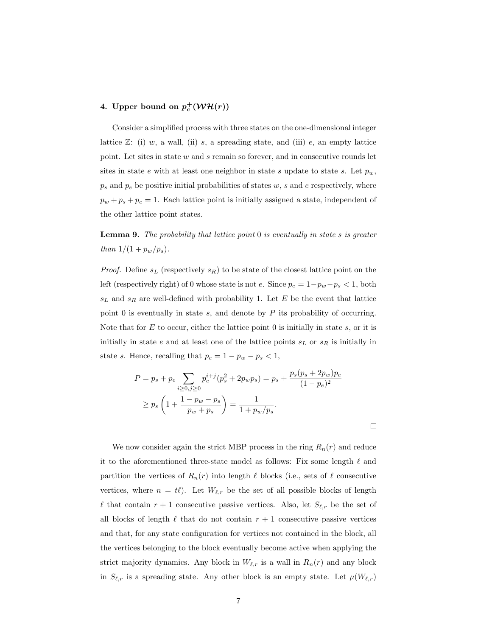# **4.** Upper bound on  $p_c^+(\mathcal{W}\mathcal{H}(r))$

Consider a simplified process with three states on the one-dimensional integer lattice  $\mathbb{Z}$ : (i) *w*, a wall, (ii) *s*, a spreading state, and (iii) *e*, an empty lattice point. Let sites in state *w* and *s* remain so forever, and in consecutive rounds let sites in state *e* with at least one neighbor in state *s* update to state *s*. Let  $p_w$ ,  $p_s$  and  $p_e$  be positive initial probabilities of states  $w$ ,  $s$  and  $e$  respectively, where  $p_w + p_s + p_e = 1$ . Each lattice point is initially assigned a state, independent of the other lattice point states.

**Lemma 9.** *The probability that lattice point* 0 *is eventually in state s is greater than*  $1/(1 + p_w/p_s)$ .

*Proof.* Define  $s_L$  (respectively  $s_R$ ) to be state of the closest lattice point on the left (respectively right) of 0 whose state is not *e*. Since  $p_e = 1 - p_w - p_s < 1$ , both *s<sup>L</sup>* and *s<sup>R</sup>* are well-defined with probability 1. Let *E* be the event that lattice point 0 is eventually in state *s*, and denote by *P* its probability of occurring. Note that for *E* to occur, either the lattice point 0 is initially in state *s*, or it is initially in state *e* and at least one of the lattice points *s<sup>L</sup>* or *s<sup>R</sup>* is initially in state *s*. Hence, recalling that  $p_e = 1 - p_w - p_s < 1$ ,

$$
P = p_s + p_e \sum_{i \ge 0, j \ge 0} p_e^{i+j} (p_s^2 + 2p_w p_s) = p_s + \frac{p_s (p_s + 2p_w) p_e}{(1 - p_e)^2}
$$
  

$$
\ge p_s \left( 1 + \frac{1 - p_w - p_s}{p_w + p_s} \right) = \frac{1}{1 + p_w / p_s}.
$$

 $\Box$ 

We now consider again the strict MBP process in the ring  $R_n(r)$  and reduce it to the aforementioned three-state model as follows: Fix some length *ℓ* and partition the vertices of  $R_n(r)$  into length  $\ell$  blocks (i.e., sets of  $\ell$  consecutive vertices, where  $n = t\ell$ ). Let  $W_{\ell,r}$  be the set of all possible blocks of length *l* that contain  $r + 1$  consecutive passive vertices. Also, let  $S_{\ell,r}$  be the set of all blocks of length  $\ell$  that do not contain  $r + 1$  consecutive passive vertices and that, for any state configuration for vertices not contained in the block, all the vertices belonging to the block eventually become active when applying the strict majority dynamics. Any block in  $W_{\ell,r}$  is a wall in  $R_n(r)$  and any block in  $S_{\ell,r}$  is a spreading state. Any other block is an empty state. Let  $\mu(W_{\ell,r})$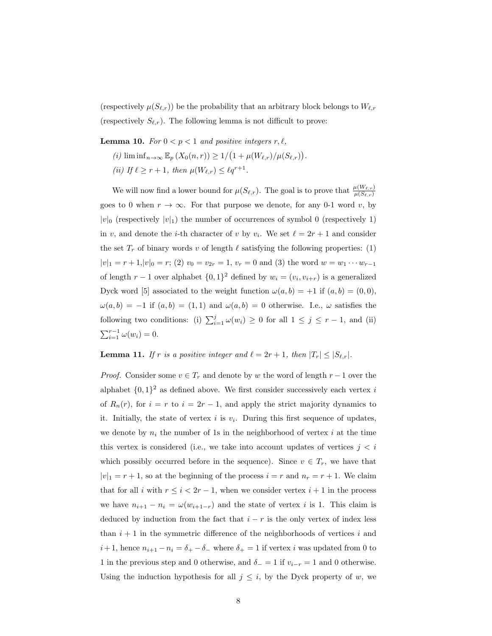(respectively  $\mu(S_{\ell,r})$ ) be the probability that an arbitrary block belongs to  $W_{\ell,r}$ (respectively  $S_{\ell,r}$ ). The following lemma is not difficult to prove:

**Lemma 10.** *For*  $0 < p < 1$  *and positive integers*  $r, \ell$ *,* 

- $f(i)$  lim  $\inf_{n\to\infty}$   $\mathbb{E}_p(X_0(n,r)) \geq 1/(1 + \mu(W_{\ell,r})/\mu(S_{\ell,r}))$ .
- $(iii)$  *If*  $\ell \geq r+1$ , then  $\mu(W_{\ell,r}) \leq \ell q^{r+1}$ .

We will now find a lower bound for  $\mu(S_{\ell,r})$ . The goal is to prove that  $\frac{\mu(W_{\ell,r})}{\mu(S_{\ell,r})}$ goes to 0 when  $r \to \infty$ . For that purpose we denote, for any 0-1 word *v*, by  $|v|_0$  (respectively  $|v|_1$ ) the number of occurrences of symbol 0 (respectively 1) in *v*, and denote the *i*-th character of *v* by  $v_i$ . We set  $\ell = 2r + 1$  and consider the set  $T_r$  of binary words *v* of length  $\ell$  satisfying the following properties: (1)  $|v|_1 = r + 1, |v|_0 = r$ ; (2)  $v_0 = v_{2r} = 1, v_r = 0$  and (3) the word  $w = w_1 \cdots w_{r-1}$ of length  $r - 1$  over alphabet  $\{0, 1\}^2$  defined by  $w_i = (v_i, v_{i+r})$  is a generalized Dyck word [5] associated to the weight function  $\omega(a, b) = +1$  if  $(a, b) = (0, 0)$ ,  $\omega(a, b) = -1$  if  $(a, b) = (1, 1)$  and  $\omega(a, b) = 0$  otherwise. I.e.,  $\omega$  satisfies the following two conditions: (i)  $\sum_{i=1}^{j} \omega(w_i) \geq 0$  for all  $1 \leq j \leq r-1$ , and (ii)  $\sum_{i=1}^{r-1} \omega(w_i) = 0.$ 

### **Lemma 11.** *If*  $r$  *is a positive integer and*  $\ell = 2r + 1$ *, then*  $|T_r| \leq |S_{\ell,r}|$ *.*

*Proof.* Consider some  $v \in T_r$  and denote by *w* the word of length  $r - 1$  over the alphabet  $\{0,1\}^2$  as defined above. We first consider successively each vertex *i* of  $R_n(r)$ , for  $i = r$  to  $i = 2r - 1$ , and apply the strict majority dynamics to it. Initially, the state of vertex  $i$  is  $v_i$ . During this first sequence of updates, we denote by  $n_i$  the number of 1s in the neighborhood of vertex  $i$  at the time this vertex is considered (i.e., we take into account updates of vertices  $j < i$ which possibly occurred before in the sequence). Since  $v \in T_r$ , we have that  $|v|_1 = r + 1$ , so at the beginning of the process  $i = r$  and  $n_r = r + 1$ . We claim that for all *i* with  $r \leq i < 2r - 1$ , when we consider vertex  $i + 1$  in the process we have  $n_{i+1} - n_i = \omega(w_{i+1-r})$  and the state of vertex *i* is 1. This claim is deduced by induction from the fact that  $i - r$  is the only vertex of index less than  $i + 1$  in the symmetric difference of the neighborhoods of vertices  $i$  and *i* + 1, hence  $n_{i+1} - n_i = \delta_+ - \delta_-$  where  $\delta_+ = 1$  if vertex *i* was updated from 0 to 1 in the previous step and 0 otherwise, and  $\delta$ <sub>−</sub> = 1 if  $v_{i-r}$  = 1 and 0 otherwise. Using the induction hypothesis for all  $j \leq i$ , by the Dyck property of *w*, we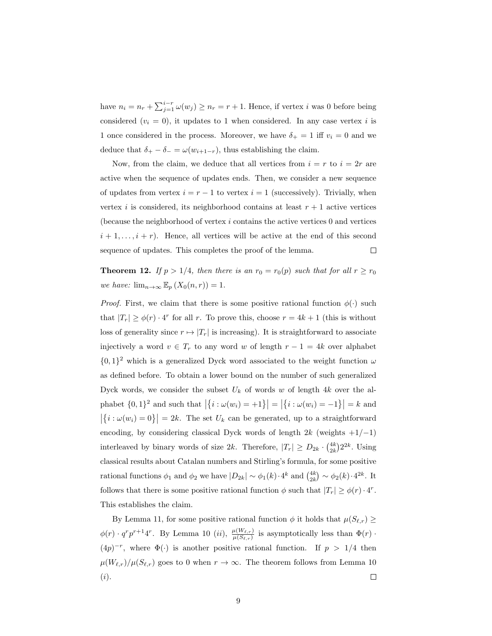have  $n_i = n_r + \sum_{j=1}^{i-r} \omega(w_j) \geq n_r = r + 1$ . Hence, if vertex *i* was 0 before being considered  $(v_i = 0)$ , it updates to 1 when considered. In any case vertex *i* is 1 once considered in the process. Moreover, we have  $\delta_+ = 1$  iff  $v_i = 0$  and we deduce that  $\delta_+ - \delta_- = \omega(w_{i+1-r})$ , thus establishing the claim.

Now, from the claim, we deduce that all vertices from  $i = r$  to  $i = 2r$  are active when the sequence of updates ends. Then, we consider a new sequence of updates from vertex  $i = r - 1$  to vertex  $i = 1$  (successively). Trivially, when vertex *i* is considered, its neighborhood contains at least  $r + 1$  active vertices (because the neighborhood of vertex *i* contains the active vertices 0 and vertices  $i + 1, \ldots, i + r$ . Hence, all vertices will be active at the end of this second sequence of updates. This completes the proof of the lemma.  $\Box$ 

**Theorem 12.** *If*  $p > 1/4$ *, then there is an*  $r_0 = r_0(p)$  *such that for all*  $r \ge r_0$ *we have:*  $\lim_{n\to\infty} \mathbb{E}_p(X_0(n,r)) = 1$ .

*Proof.* First, we claim that there is some positive rational function  $\phi(\cdot)$  such that  $|T_r| \ge \phi(r) \cdot 4^r$  for all *r*. To prove this, choose  $r = 4k + 1$  (this is without loss of generality since  $r \mapsto |T_r|$  is increasing). It is straightforward to associate injectively a word  $v \in T_r$  to any word *w* of length  $r - 1 = 4k$  over alphabet  $\{0,1\}^2$  which is a generalized Dyck word associated to the weight function  $\omega$ as defined before. To obtain a lower bound on the number of such generalized Dyck words, we consider the subset  $U_k$  of words  $w$  of length  $4k$  over the alphabet  $\{0, 1\}^2$  and such that  $|\{i : \omega(w_i) = +1\}| = |\{i : \omega(w_i) = -1\}| = k$  and  $|\{i : \omega(w_i) = 0\}| = 2k$ . The set  $U_k$  can be generated, up to a straightforward encoding, by considering classical Dyck words of length 2*k* (weights +1/*−*1) interleaved by binary words of size 2*k*. Therefore,  $|T_r| \ge D_{2k} \cdot \binom{4k}{2k} 2^{2k}$ . Using classical results about Catalan numbers and Stirling's formula, for some positive rational functions  $\phi_1$  and  $\phi_2$  we have  $|D_{2k}| \sim \phi_1(k) \cdot 4^k$  and  $\binom{4k}{2k} \sim \phi_2(k) \cdot 4^{2k}$ . It follows that there is some positive rational function  $\phi$  such that  $|T_r| \ge \phi(r) \cdot 4^r$ . This establishes the claim.

By Lemma 11, for some positive rational function  $\phi$  it holds that  $\mu(S_{\ell,r}) \geq$  $\phi(r) \cdot q^r p^{r+1} 4^r$ . By Lemma 10 (*ii*),  $\frac{\mu(W_{\ell,r})}{\mu(S_{\ell,r})}$  is asymptotically less than  $\Phi(r)$ .  $(4p)^{-r}$ , where  $\Phi(\cdot)$  is another positive rational function. If  $p > 1/4$  then  $\mu(W_{\ell,r})/\mu(S_{\ell,r})$  goes to 0 when  $r \to \infty$ . The theorem follows from Lemma 10 (*i*).  $\Box$